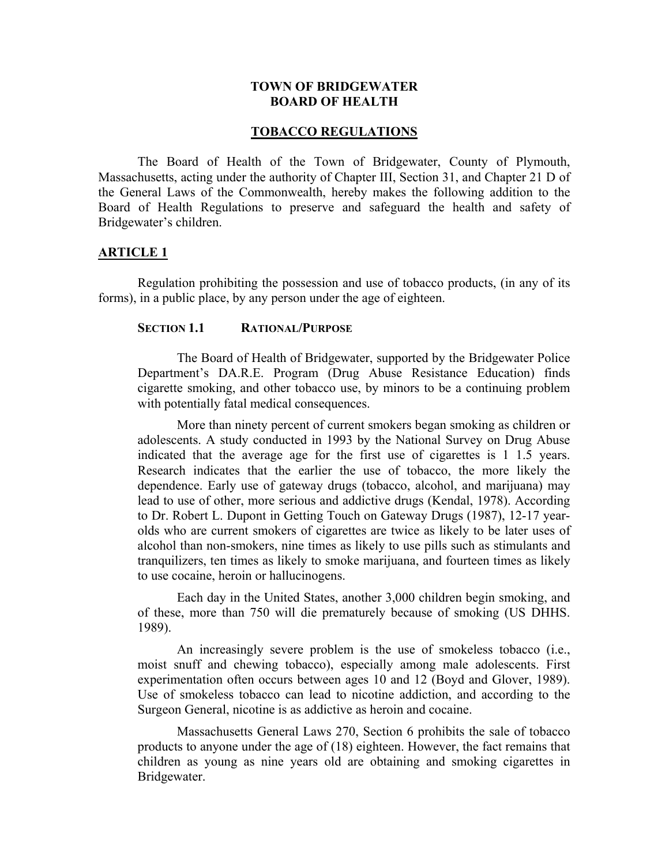### **TOWN OF BRIDGEWATER BOARD OF HEALTH**

#### **TOBACCO REGULATIONS**

The Board of Health of the Town of Bridgewater, County of Plymouth, Massachusetts, acting under the authority of Chapter III, Section 31, and Chapter 21 D of the General Laws of the Commonwealth, hereby makes the following addition to the Board of Health Regulations to preserve and safeguard the health and safety of Bridgewater's children.

## **ARTICLE 1**

Regulation prohibiting the possession and use of tobacco products, (in any of its forms), in a public place, by any person under the age of eighteen.

### **SECTION 1.1 RATIONAL/PURPOSE**

The Board of Health of Bridgewater, supported by the Bridgewater Police Department's DA.R.E. Program (Drug Abuse Resistance Education) finds cigarette smoking, and other tobacco use, by minors to be a continuing problem with potentially fatal medical consequences.

More than ninety percent of current smokers began smoking as children or adolescents. A study conducted in 1993 by the National Survey on Drug Abuse indicated that the average age for the first use of cigarettes is 1 1.5 years. Research indicates that the earlier the use of tobacco, the more likely the dependence. Early use of gateway drugs (tobacco, alcohol, and marijuana) may lead to use of other, more serious and addictive drugs (Kendal, 1978). According to Dr. Robert L. Dupont in Getting Touch on Gateway Drugs (1987), 12-17 yearolds who are current smokers of cigarettes are twice as likely to be later uses of alcohol than non-smokers, nine times as likely to use pills such as stimulants and tranquilizers, ten times as likely to smoke marijuana, and fourteen times as likely to use cocaine, heroin or hallucinogens.

Each day in the United States, another 3,000 children begin smoking, and of these, more than 750 will die prematurely because of smoking (US DHHS. 1989).

An increasingly severe problem is the use of smokeless tobacco (i.e., moist snuff and chewing tobacco), especially among male adolescents. First experimentation often occurs between ages 10 and 12 (Boyd and Glover, 1989). Use of smokeless tobacco can lead to nicotine addiction, and according to the Surgeon General, nicotine is as addictive as heroin and cocaine.

Massachusetts General Laws 270, Section 6 prohibits the sale of tobacco products to anyone under the age of (18) eighteen. However, the fact remains that children as young as nine years old are obtaining and smoking cigarettes in Bridgewater.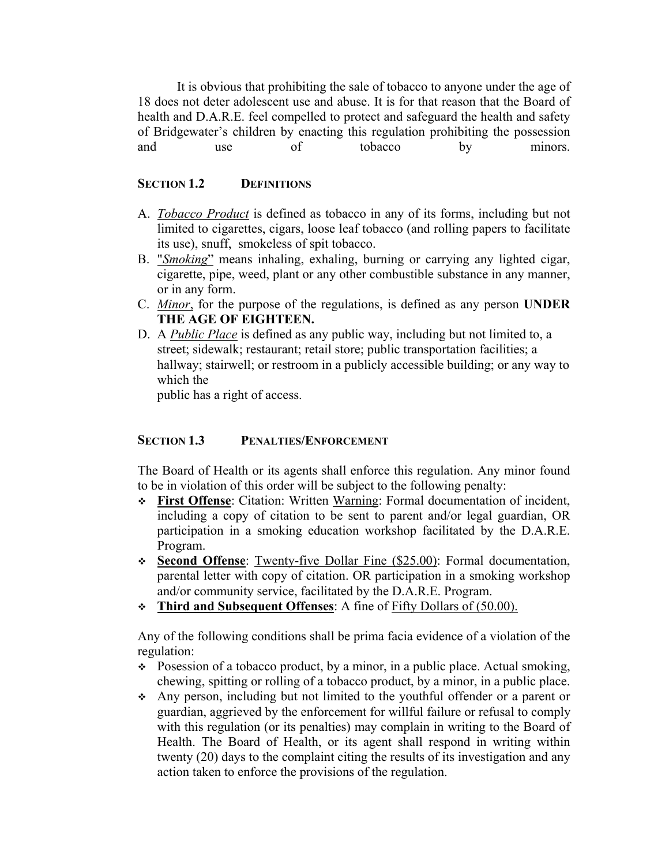It is obvious that prohibiting the sale of tobacco to anyone under the age of 18 does not deter adolescent use and abuse. It is for that reason that the Board of health and D.A.R.E. feel compelled to protect and safeguard the health and safety of Bridgewater's children by enacting this regulation prohibiting the possession and use of tobacco by minors.

## **SECTION 1.2 DEFINITIONS**

- A. *Tobacco Product* is defined as tobacco in any of its forms, including but not limited to cigarettes, cigars, loose leaf tobacco (and rolling papers to facilitate its use), snuff, smokeless of spit tobacco.
- B. "*Smoking*" means inhaling, exhaling, burning or carrying any lighted cigar, cigarette, pipe, weed, plant or any other combustible substance in any manner, or in any form.
- C. *Minor*, for the purpose of the regulations, is defined as any person **UNDER THE AGE OF EIGHTEEN.**
- D. A *Public Place* is defined as any public way, including but not limited to, a street; sidewalk; restaurant; retail store; public transportation facilities; a hallway; stairwell; or restroom in a publicly accessible building; or any way to which the

public has a right of access.

# **SECTION 1.3** PENALTIES/ENFORCEMENT

The Board of Health or its agents shall enforce this regulation. Any minor found to be in violation of this order will be subject to the following penalty:

- **First Offense**: Citation: Written Warning: Formal documentation of incident, including a copy of citation to be sent to parent and/or legal guardian, OR participation in a smoking education workshop facilitated by the D.A.R.E. Program.
- **Second Offense**: Twenty-five Dollar Fine (\$25.00): Formal documentation, parental letter with copy of citation. OR participation in a smoking workshop and/or community service, facilitated by the D.A.R.E. Program.
- **Third and Subsequent Offenses**: A fine of Fifty Dollars of (50.00).

Any of the following conditions shall be prima facia evidence of a violation of the regulation:

- Posession of a tobacco product, by a minor, in a public place. Actual smoking, chewing, spitting or rolling of a tobacco product, by a minor, in a public place.
- Any person, including but not limited to the youthful offender or a parent or guardian, aggrieved by the enforcement for willful failure or refusal to comply with this regulation (or its penalties) may complain in writing to the Board of Health. The Board of Health, or its agent shall respond in writing within twenty (20) days to the complaint citing the results of its investigation and any action taken to enforce the provisions of the regulation.